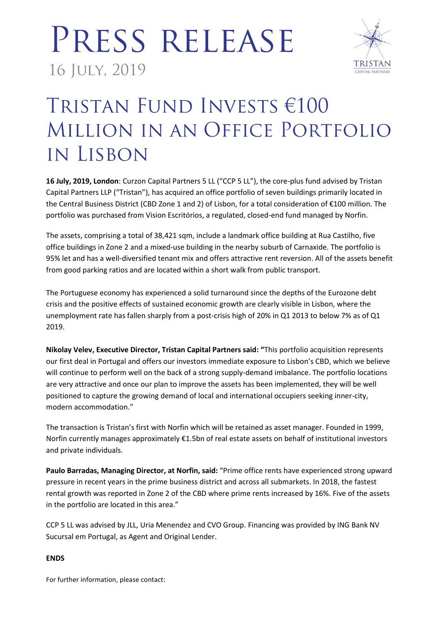# PRESS RELEASE 16 JULY, 2019



### TRISTAN FUND INVESTS €100 MILLION IN AN OFFICE PORTFOLIO IN LISBON

**16 July, 2019, London**: Curzon Capital Partners 5 LL ("CCP 5 LL"), the core-plus fund advised by Tristan Capital Partners LLP ("Tristan"), has acquired an office portfolio of seven buildings primarily located in the Central Business District (CBD Zone 1 and 2) of Lisbon, for a total consideration of €100 million. The portfolio was purchased from Vision Escritórios, a regulated, closed-end fund managed by Norfin.

The assets, comprising a total of 38,421 sqm, include a landmark office building at Rua Castilho, five office buildings in Zone 2 and a mixed-use building in the nearby suburb of Carnaxide. The portfolio is 95% let and has a well-diversified tenant mix and offers attractive rent reversion. All of the assets benefit from good parking ratios and are located within a short walk from public transport.

The Portuguese economy has experienced a solid turnaround since the depths of the Eurozone debt crisis and the positive effects of sustained economic growth are clearly visible in Lisbon, where the unemployment rate has fallen sharply from a post-crisis high of 20% in Q1 2013 to below 7% as of Q1 2019.

**Nikolay Velev, Executive Director, Tristan Capital Partners said: "**This portfolio acquisition represents our first deal in Portugal and offers our investors immediate exposure to Lisbon's CBD, which we believe will continue to perform well on the back of a strong supply-demand imbalance. The portfolio locations are very attractive and once our plan to improve the assets has been implemented, they will be well positioned to capture the growing demand of local and international occupiers seeking inner-city, modern accommodation."

The transaction is Tristan's first with Norfin which will be retained as asset manager. Founded in 1999, Norfin currently manages approximately €1.5bn of real estate assets on behalf of institutional investors and private individuals.

**Paulo Barradas, Managing Director, at Norfin, said:** "Prime office rents have experienced strong upward pressure in recent years in the prime business district and across all submarkets. In 2018, the fastest rental growth was reported in Zone 2 of the CBD where prime rents increased by 16%. Five of the assets in the portfolio are located in this area."

CCP 5 LL was advised by JLL, Uria Menendez and CVO Group. Financing was provided by ING Bank NV Sucursal em Portugal, as Agent and Original Lender.

### **ENDS**

For further information, please contact: